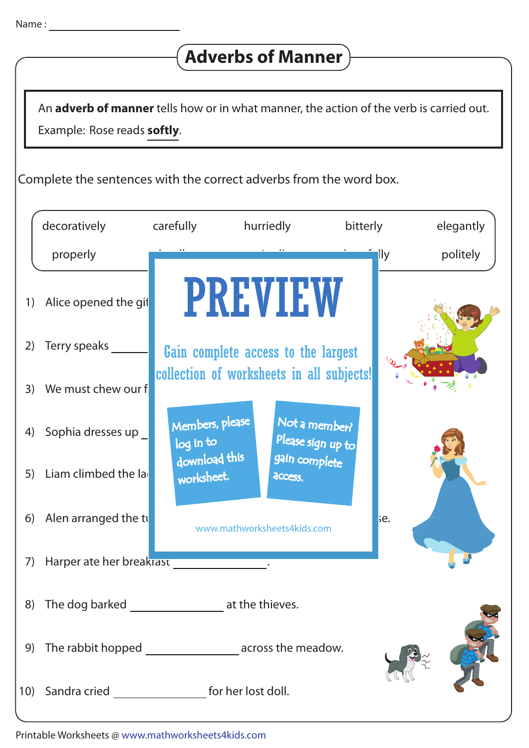## **Adverbs of Manner**

Example: Rose reads **softly**. An **adverb of manner** tells how or in what manner, the action of the verb is carried out.

Complete the sentences with the correct adverbs from the word box.

|    | decoratively                                                 | carefully                    | hurriedly                                 | bitterly                           | elegantly        |
|----|--------------------------------------------------------------|------------------------------|-------------------------------------------|------------------------------------|------------------|
|    | properly                                                     |                              |                                           |                                    | politely<br>lly. |
| 1) | Alice opened the gif                                         |                              | <b>PREVIEW</b>                            |                                    |                  |
| 2) | Terry speaks                                                 |                              | Gain complete access to the largest       |                                    |                  |
| 3) | We must chew our f                                           |                              | collection of worksheets in all subjects! |                                    |                  |
| 4) | Sophia dresses up _                                          | Members, please<br>log in to |                                           | Not a member?<br>Please sign up to |                  |
| 5) | Liam climbed the la                                          | download this<br>worksheet.  | access.                                   | gain complete                      |                  |
| 6) | Alen arranged the tu                                         |                              | www.mathworksheets4kids.com               |                                    | be.              |
| 7) | Harper ate her breakrast                                     |                              |                                           |                                    |                  |
| 8) | The dog barked                                               |                              | at the thieves.                           |                                    |                  |
| 9) | The rabbit hopped _______________________ across the meadow. |                              |                                           |                                    |                  |
|    | 10) Sandra cried ______________________ for her lost doll.   |                              |                                           |                                    |                  |